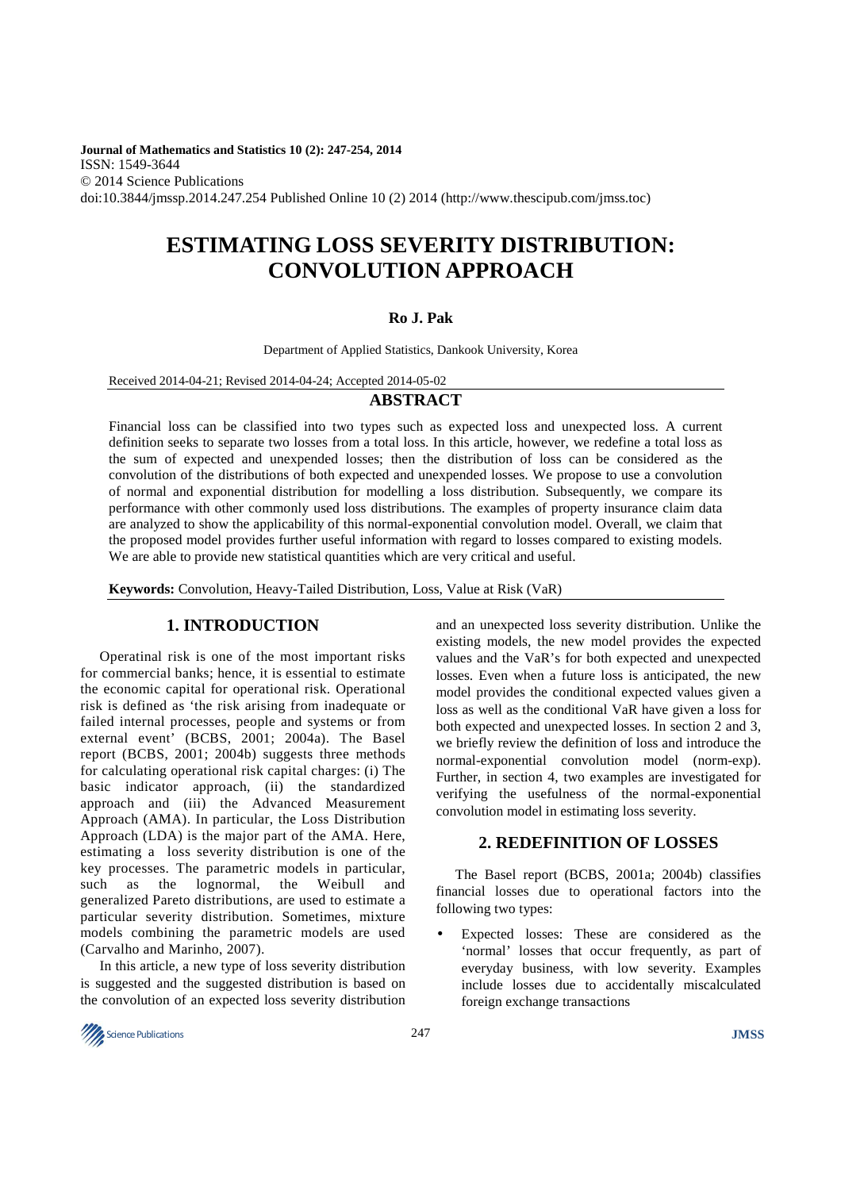**Journal of Mathematics and Statistics 10 (2): 247-254, 2014**  ISSN: 1549-3644 © 2014 Science Publications doi:10.3844/jmssp.2014.247.254 Published Online 10 (2) 2014 (http://www.thescipub.com/jmss.toc)

# **ESTIMATING LOSS SEVERITY DISTRIBUTION: CONVOLUTION APPROACH**

## **Ro J. Pak**

Department of Applied Statistics, Dankook University, Korea

Received 2014-04-21; Revised 2014-04-24; Accepted 2014-05-02

## **ABSTRACT**

Financial loss can be classified into two types such as expected loss and unexpected loss. A current definition seeks to separate two losses from a total loss. In this article, however, we redefine a total loss as the sum of expected and unexpended losses; then the distribution of loss can be considered as the convolution of the distributions of both expected and unexpended losses. We propose to use a convolution of normal and exponential distribution for modelling a loss distribution. Subsequently, we compare its performance with other commonly used loss distributions. The examples of property insurance claim data are analyzed to show the applicability of this normal-exponential convolution model. Overall, we claim that the proposed model provides further useful information with regard to losses compared to existing models. We are able to provide new statistical quantities which are very critical and useful.

**Keywords:** Convolution, Heavy-Tailed Distribution, Loss, Value at Risk (VaR)

## **1. INTRODUCTION**

Operatinal risk is one of the most important risks for commercial banks; hence, it is essential to estimate the economic capital for operational risk. Operational risk is defined as 'the risk arising from inadequate or failed internal processes, people and systems or from external event' (BCBS, 2001; 2004a). The Basel report (BCBS, 2001; 2004b) suggests three methods for calculating operational risk capital charges: (i) The basic indicator approach, (ii) the standardized approach and (iii) the Advanced Measurement Approach (AMA). In particular, the Loss Distribution Approach (LDA) is the major part of the AMA. Here, estimating a loss severity distribution is one of the key processes. The parametric models in particular, such as the lognormal, the Weibull and generalized Pareto distributions, are used to estimate a particular severity distribution. Sometimes, mixture models combining the parametric models are used (Carvalho and Marinho, 2007).

In this article, a new type of loss severity distribution is suggested and the suggested distribution is based on the convolution of an expected loss severity distribution

and an unexpected loss severity distribution. Unlike the existing models, the new model provides the expected values and the VaR's for both expected and unexpected losses. Even when a future loss is anticipated, the new model provides the conditional expected values given a loss as well as the conditional VaR have given a loss for both expected and unexpected losses. In section 2 and 3, we briefly review the definition of loss and introduce the normal-exponential convolution model (norm-exp). Further, in section 4, two examples are investigated for verifying the usefulness of the normal-exponential convolution model in estimating loss severity.

## **2. REDEFINITION OF LOSSES**

The Basel report (BCBS, 2001a; 2004b) classifies financial losses due to operational factors into the following two types:

• Expected losses: These are considered as the 'normal' losses that occur frequently, as part of everyday business, with low severity. Examples include losses due to accidentally miscalculated foreign exchange transactions

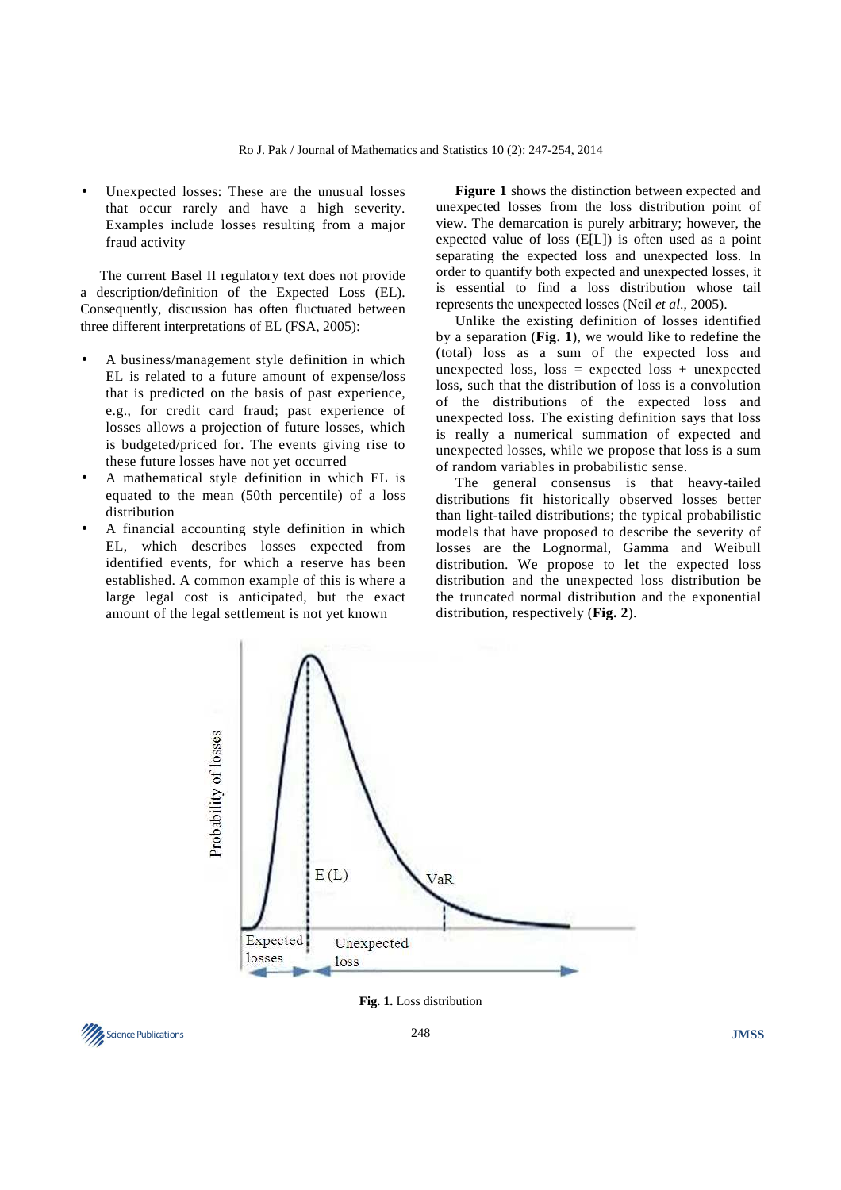Unexpected losses: These are the unusual losses that occur rarely and have a high severity. Examples include losses resulting from a major fraud activity

The current Basel II regulatory text does not provide a description/definition of the Expected Loss (EL). Consequently, discussion has often fluctuated between three different interpretations of EL (FSA, 2005):

- A business/management style definition in which EL is related to a future amount of expense/loss that is predicted on the basis of past experience, e.g., for credit card fraud; past experience of losses allows a projection of future losses, which is budgeted/priced for. The events giving rise to these future losses have not yet occurred
- A mathematical style definition in which EL is equated to the mean (50th percentile) of a loss distribution
- A financial accounting style definition in which EL, which describes losses expected from identified events, for which a reserve has been established. A common example of this is where a large legal cost is anticipated, but the exact amount of the legal settlement is not yet known

**Figure 1** shows the distinction between expected and unexpected losses from the loss distribution point of view. The demarcation is purely arbitrary; however, the expected value of loss (E[L]) is often used as a point separating the expected loss and unexpected loss. In order to quantify both expected and unexpected losses, it is essential to find a loss distribution whose tail represents the unexpected losses (Neil *et al*., 2005).

Unlike the existing definition of losses identified by a separation (**Fig. 1**), we would like to redefine the (total) loss as a sum of the expected loss and unexpected loss, loss = expected loss + unexpected loss, such that the distribution of loss is a convolution of the distributions of the expected loss and unexpected loss. The existing definition says that loss is really a numerical summation of expected and unexpected losses, while we propose that loss is a sum of random variables in probabilistic sense.

The general consensus is that heavy-tailed distributions fit historically observed losses better than light-tailed distributions; the typical probabilistic models that have proposed to describe the severity of losses are the Lognormal, Gamma and Weibull distribution. We propose to let the expected loss distribution and the unexpected loss distribution be the truncated normal distribution and the exponential distribution, respectively (**Fig. 2**).



**Fig. 1.** Loss distribution

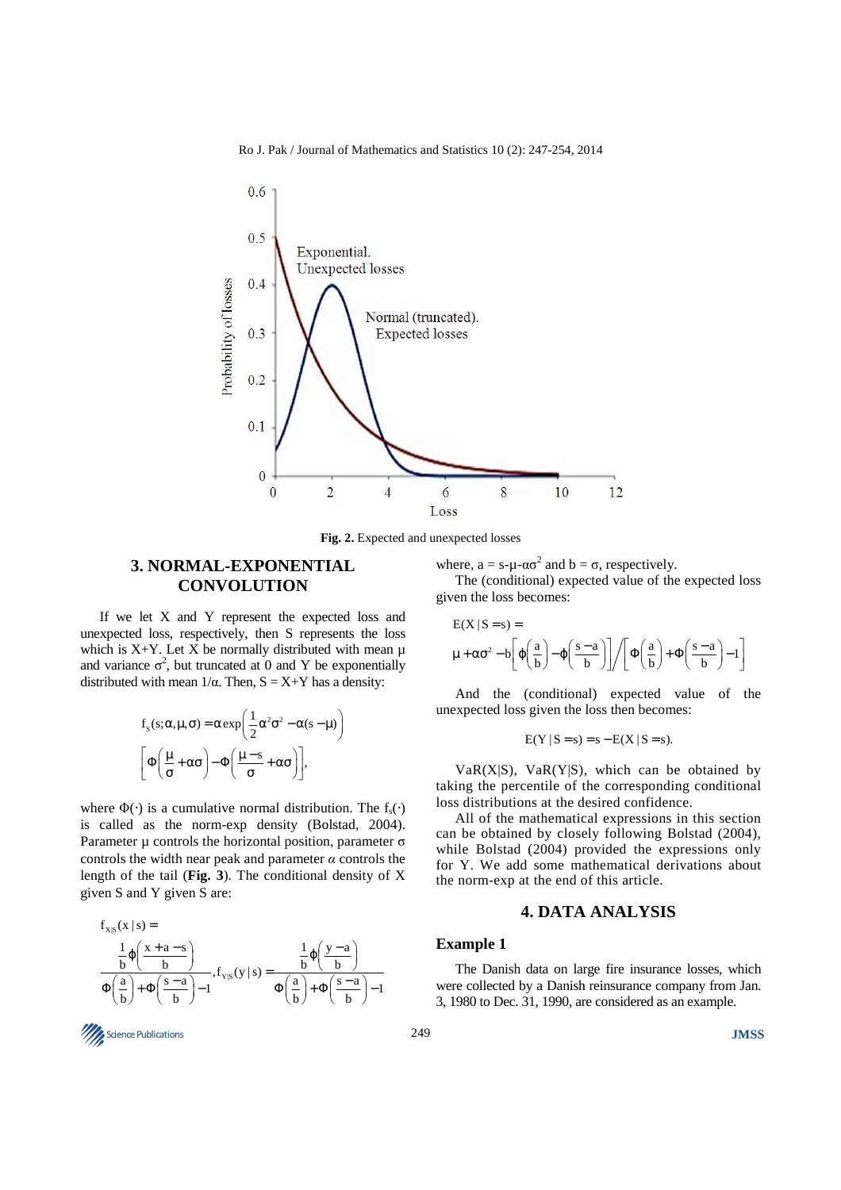Ro J. Pak / Journal of Mathematics and Statistics 10 (2): 247-254, 2014



**Fig. 2.** Expected and unexpected losses

# **3. NORMAL-EXPONENTIAL CONVOLUTION**

If we let X and Y represent the expected loss and unexpected loss, respectively, then S represents the loss which is  $X+Y$ . Let X be normally distributed with mean  $\mu$ and variance  $\sigma^2$ , but truncated at 0 and Y be exponentially distributed with mean  $1/α$ . Then,  $S = X+Y$  has a density:

$$
f_s(s; \alpha, \mu, \sigma) = \alpha \exp\left(\frac{1}{2}\alpha^2 \sigma^2 - \alpha(s - \mu)\right)
$$

$$
\left[\Phi\left(\frac{\mu}{\sigma} + \alpha\sigma\right) - \Phi\left(\frac{\mu - s}{\sigma} + \alpha\sigma\right)\right],
$$

where  $\Phi(\cdot)$  is a cumulative normal distribution. The f<sub>s</sub> $(\cdot)$ is called as the norm-exp density (Bolstad, 2004). Parameter  $\mu$  controls the horizontal position, parameter  $\sigma$ controls the width near peak and parameter  $\alpha$  controls the length of the tail (**Fig. 3**). The conditional density of X given S and Y given S are:

$$
\begin{array}{l} f_{x|S}(x \mid s) = \\ \frac{1}{b} \phi\bigg(\frac{x+a-s}{b}\bigg) \\ \hline \Phi\bigg(\frac{a}{b}\bigg) + \Phi\bigg(\frac{s-a}{b}\bigg) - 1, \\ f_{Y|S}(y \mid s) = \frac{1}{\Phi\bigg(\frac{a}{b}\bigg) + \Phi\bigg(\frac{s-a}{b}\bigg) - 1}\end{array}
$$



where,  $a = s - \mu - \alpha \sigma^2$  and  $b = \sigma$ , respectively.

The (conditional) expected value of the expected loss given the loss becomes:

$$
E(X | S = s) = \mu + \alpha \sigma^2 - b \left[ \varphi \left( \frac{a}{b} \right) - \varphi \left( \frac{s - a}{b} \right) \right] / \left[ \Phi \left( \frac{a}{b} \right) + \Phi \left( \frac{s - a}{b} \right) - 1 \right]
$$

And the (conditional) expected value of the unexpected loss given the loss then becomes:

$$
E(Y | S = s) = s - E(X | S = s).
$$

 $VaR(X|S)$ ,  $VaR(Y|S)$ , which can be obtained by taking the percentile of the corresponding conditional loss distributions at the desired confidence.

All of the mathematical expressions in this section can be obtained by closely following Bolstad (2004), while Bolstad (2004) provided the expressions only for Y. We add some mathematical derivations about the norm-exp at the end of this article.

## **4. DATA ANALYSIS**

## **Example 1**

The Danish data on large fire insurance losses, which were collected by a Danish reinsurance company from Jan. 3, 1980 to Dec. 31, 1990, are considered as an example.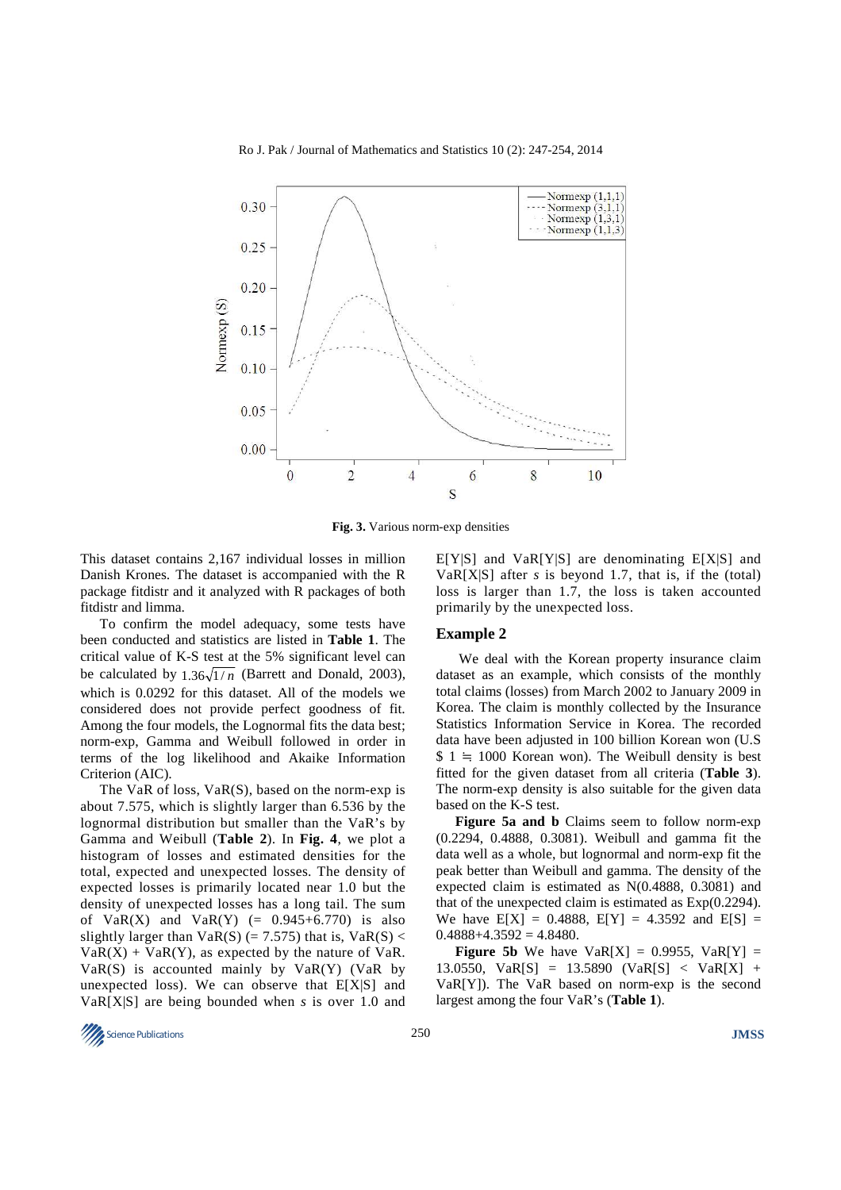Ro J. Pak / Journal of Mathematics and Statistics 10 (2): 247-254, 2014



**Fig. 3.** Various norm-exp densities

This dataset contains 2,167 individual losses in million Danish Krones. The dataset is accompanied with the R package fitdistr and it analyzed with R packages of both fitdistr and limma.

To confirm the model adequacy, some tests have been conducted and statistics are listed in **Table 1**. The critical value of K-S test at the 5% significant level can be calculated by  $1.36\sqrt{1/n}$  (Barrett and Donald, 2003), which is 0.0292 for this dataset. All of the models we considered does not provide perfect goodness of fit. Among the four models, the Lognormal fits the data best; norm-exp, Gamma and Weibull followed in order in terms of the log likelihood and Akaike Information Criterion (AIC).

The VaR of loss, VaR(S), based on the norm-exp is about 7.575, which is slightly larger than 6.536 by the lognormal distribution but smaller than the VaR's by Gamma and Weibull (**Table 2**). In **Fig. 4**, we plot a histogram of losses and estimated densities for the total, expected and unexpected losses. The density of expected losses is primarily located near 1.0 but the density of unexpected losses has a long tail. The sum of  $VaR(X)$  and  $VaR(Y)$  (= 0.945+6.770) is also slightly larger than  $VaR(S)$  (= 7.575) that is,  $VaR(S)$  <  $VaR(X) + VaR(Y)$ , as expected by the nature of VaR.  $VaR(S)$  is accounted mainly by  $VaR(Y)$  (VaR by unexpected loss). We can observe that  $E[X|S]$  and VaR[X|S] are being bounded when *s* is over 1.0 and

 $E[Y|S]$  and  $VaR[Y|S]$  are denominating  $E[X|S]$  and VaR[X|S] after *s* is beyond 1.7, that is, if the (total) loss is larger than 1.7, the loss is taken accounted primarily by the unexpected loss.

#### **Example 2**

 We deal with the Korean property insurance claim dataset as an example, which consists of the monthly total claims (losses) from March 2002 to January 2009 in Korea. The claim is monthly collected by the Insurance Statistics Information Service in Korea. The recorded data have been adjusted in 100 billion Korean won (U.S  $$ 1 \doteq 1000$  Korean won). The Weibull density is best fitted for the given dataset from all criteria (**Table 3**). The norm-exp density is also suitable for the given data based on the K-S test.

**Figure 5a and b** Claims seem to follow norm-exp (0.2294, 0.4888, 0.3081). Weibull and gamma fit the data well as a whole, but lognormal and norm-exp fit the peak better than Weibull and gamma. The density of the expected claim is estimated as N(0.4888, 0.3081) and that of the unexpected claim is estimated as Exp(0.2294). We have  $E[X] = 0.4888$ ,  $E[Y] = 4.3592$  and  $E[S] =$  $0.4888+4.3592=4.8480.$ 

**Figure 5b** We have  $VaR[X] = 0.9955$ ,  $VaR[Y] =$ 13.0550, VaR[S] = 13.5890 (VaR[S] < VaR[X] + VaR[Y]). The VaR based on norm-exp is the second largest among the four VaR's (**Table 1**).

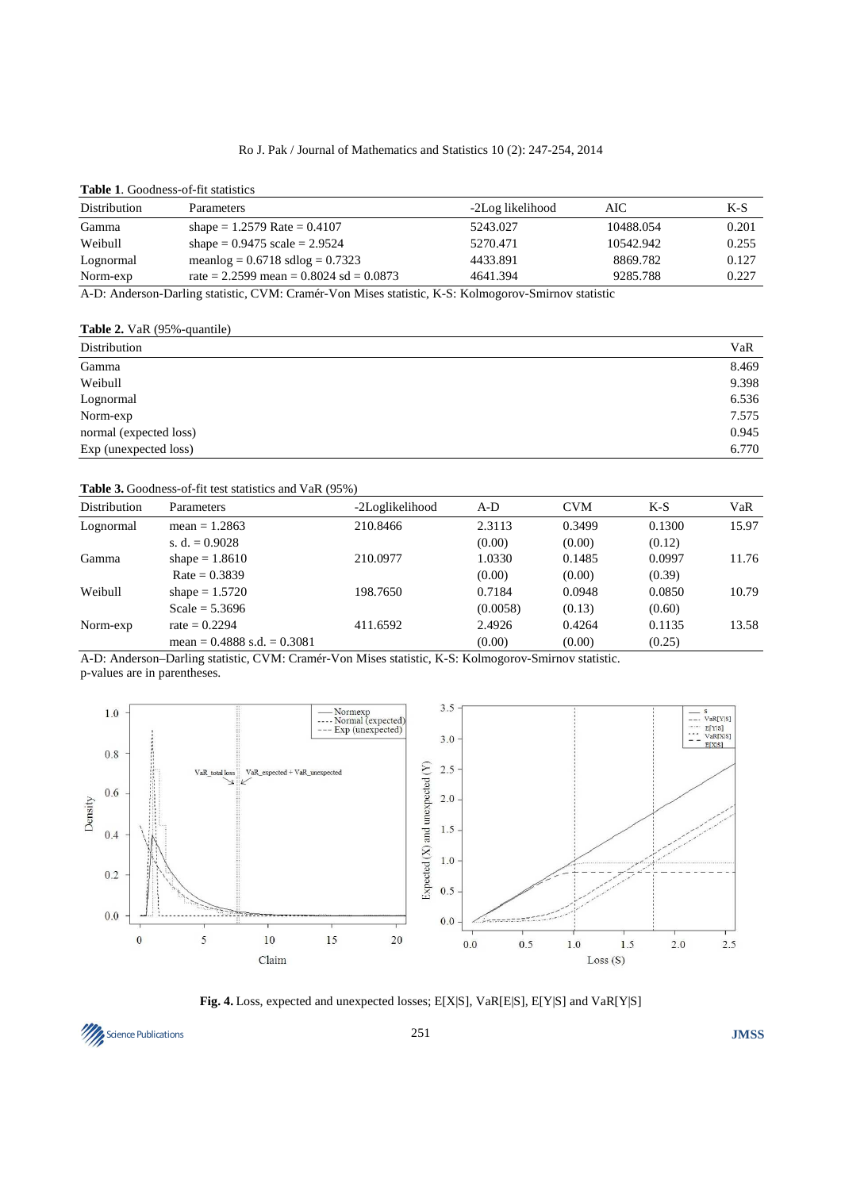### Ro J. Pak / Journal of Mathematics and Statistics 10 (2): 247-254, 2014

#### **Table 1**. Goodness-of-fit statistics

| Distribution | Parameters                                                                                                                                                                                                                                                                                                                                                                         | -2Log likelihood | AІC                                     | K-S   |
|--------------|------------------------------------------------------------------------------------------------------------------------------------------------------------------------------------------------------------------------------------------------------------------------------------------------------------------------------------------------------------------------------------|------------------|-----------------------------------------|-------|
| Gamma        | shape = $1.2579$ Rate = $0.4107$                                                                                                                                                                                                                                                                                                                                                   | 5243.027         | 10488.054                               | 0.201 |
| Weibull      | shape = $0.9475$ scale = $2.9524$                                                                                                                                                                                                                                                                                                                                                  | 5270.471         | 10542.942                               | 0.255 |
| Lognormal    | meanlog = $0.6718$ sdlog = $0.7323$                                                                                                                                                                                                                                                                                                                                                | 4433.891         | 8869.782                                | 0.127 |
| Norm-exp     | rate = 2.2599 mean = $0.8024$ sd = $0.0873$                                                                                                                                                                                                                                                                                                                                        | 4641.394         | 9285.788                                | 0.227 |
| $\sqrt{1}$   | $\mathbf{D}$ $\mathbf{E}$ $\mathbf{E}$ $\mathbf{E}$ $\mathbf{E}$ $\mathbf{E}$ $\mathbf{E}$ $\mathbf{E}$ $\mathbf{E}$ $\mathbf{E}$ $\mathbf{E}$ $\mathbf{E}$ $\mathbf{E}$ $\mathbf{E}$ $\mathbf{E}$ $\mathbf{E}$ $\mathbf{E}$ $\mathbf{E}$ $\mathbf{E}$ $\mathbf{E}$ $\mathbf{E}$ $\mathbf{E}$ $\mathbf{E}$ $\mathbf{E}$ $\mathbf{$<br>$\cdots$ $\cdots$ $\cdots$ $\cdots$ $\cdots$ | $\sim$ $\sim$    | $\cdot$ $\cdot$ $\cdot$ $\cdot$ $\cdot$ |       |

A-D: Anderson-Darling statistic, CVM: Cramér-Von Mises statistic, K-S: Kolmogorov-Smirnov statistic

**Table 2.** VaR (95%-quantile)

| Distribution           | VaR   |
|------------------------|-------|
| Gamma                  | 8.469 |
| Weibull                | 9.398 |
| Lognormal              | 6.536 |
| Norm-exp               | 7.575 |
| normal (expected loss) | 0.945 |
| Exp (unexpected loss)  |       |

**Table 3.** Goodness-of-fit test statistics and VaR (95%)

| <b>Distribution</b> | Parameters                      | -2Loglikelihood | $A-D$    | <b>CVM</b> | $K-S$  | VaR   |
|---------------------|---------------------------------|-----------------|----------|------------|--------|-------|
| Lognormal           | mean = $1.2863$                 | 210.8466        | 2.3113   | 0.3499     | 0.1300 | 15.97 |
|                     | s. d. $= 0.9028$                |                 | (0.00)   | (0.00)     | (0.12) |       |
| Gamma               | shape = $1.8610$                | 210.0977        | 1.0330   | 0.1485     | 0.0997 | 11.76 |
|                     | $Rate = 0.3839$                 |                 | (0.00)   | (0.00)     | (0.39) |       |
| Weibull             | shape = $1.5720$                | 198.7650        | 0.7184   | 0.0948     | 0.0850 | 10.79 |
|                     | Scale = $5.3696$                |                 | (0.0058) | (0.13)     | (0.60) |       |
| Norm-exp            | $rate = 0.2294$                 | 411.6592        | 2.4926   | 0.4264     | 0.1135 | 13.58 |
|                     | mean = $0.4888$ s.d. = $0.3081$ |                 | (0.00)   | (0.00)     | (0.25) |       |

A-D: Anderson–Darling statistic, CVM: Cramér-Von Mises statistic, K-S: Kolmogorov-Smirnov statistic. p-values are in parentheses.



**Fig. 4.** Loss, expected and unexpected losses; E[X|S], VaR[E|S], E[Y|S] and VaR[Y|S]

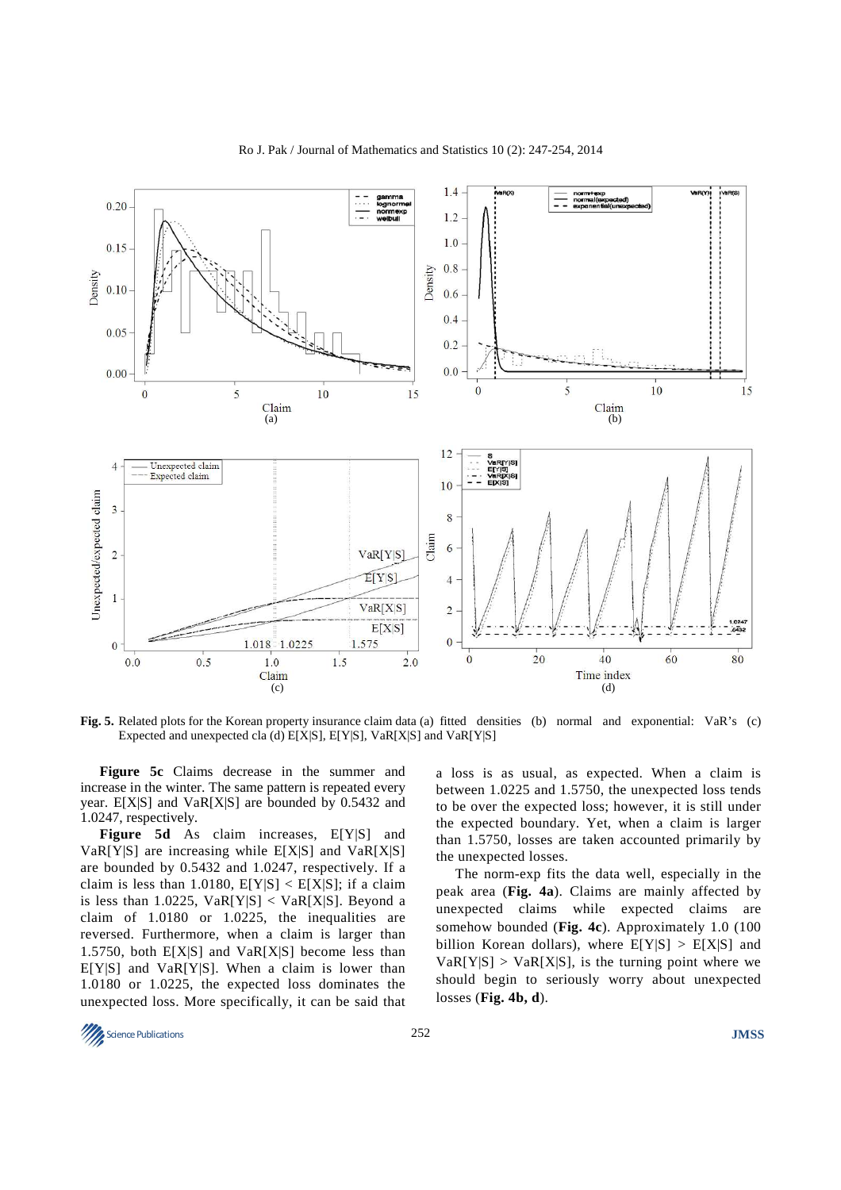

Ro J. Pak / Journal of Mathematics and Statistics 10 (2): 247-254, 2014

**Fig. 5.** Related plots for the Korean property insurance claim data (a) fitted densities (b) normal and exponential: VaR's (c) Expected and unexpected cla (d) E[X|S], E[Y|S], VaR[X|S] and VaR[Y|S]

**Figure 5c** Claims decrease in the summer and increase in the winter. The same pattern is repeated every year. E[X|S] and VaR[X|S] are bounded by 0.5432 and 1.0247, respectively.

**Figure 5d** As claim increases, E[Y|S] and  $VaR[Y|S]$  are increasing while  $E[X|S]$  and  $VaR[X|S]$ are bounded by 0.5432 and 1.0247, respectively. If a claim is less than 1.0180,  $E[Y|S] < E[X|S]$ ; if a claim is less than 1.0225,  $VaR[Y|S] < VaR[X|S]$ . Beyond a claim of 1.0180 or 1.0225, the inequalities are reversed. Furthermore, when a claim is larger than 1.5750, both  $E[X|S]$  and  $VaR[X|S]$  become less than  $E[Y|S]$  and  $VaR[Y|S]$ . When a claim is lower than 1.0180 or 1.0225, the expected loss dominates the unexpected loss. More specifically, it can be said that

a loss is as usual, as expected. When a claim is between 1.0225 and 1.5750, the unexpected loss tends to be over the expected loss; however, it is still under the expected boundary. Yet, when a claim is larger than 1.5750, losses are taken accounted primarily by the unexpected losses.

The norm-exp fits the data well, especially in the peak area (**Fig. 4a**). Claims are mainly affected by unexpected claims while expected claims are somehow bounded (**Fig. 4c**). Approximately 1.0 (100 billion Korean dollars), where  $E[Y|S] > E[X|S]$  and  $VaR[Y|S] > VaR[X|S]$ , is the turning point where we should begin to seriously worry about unexpected losses (**Fig. 4b, d**).

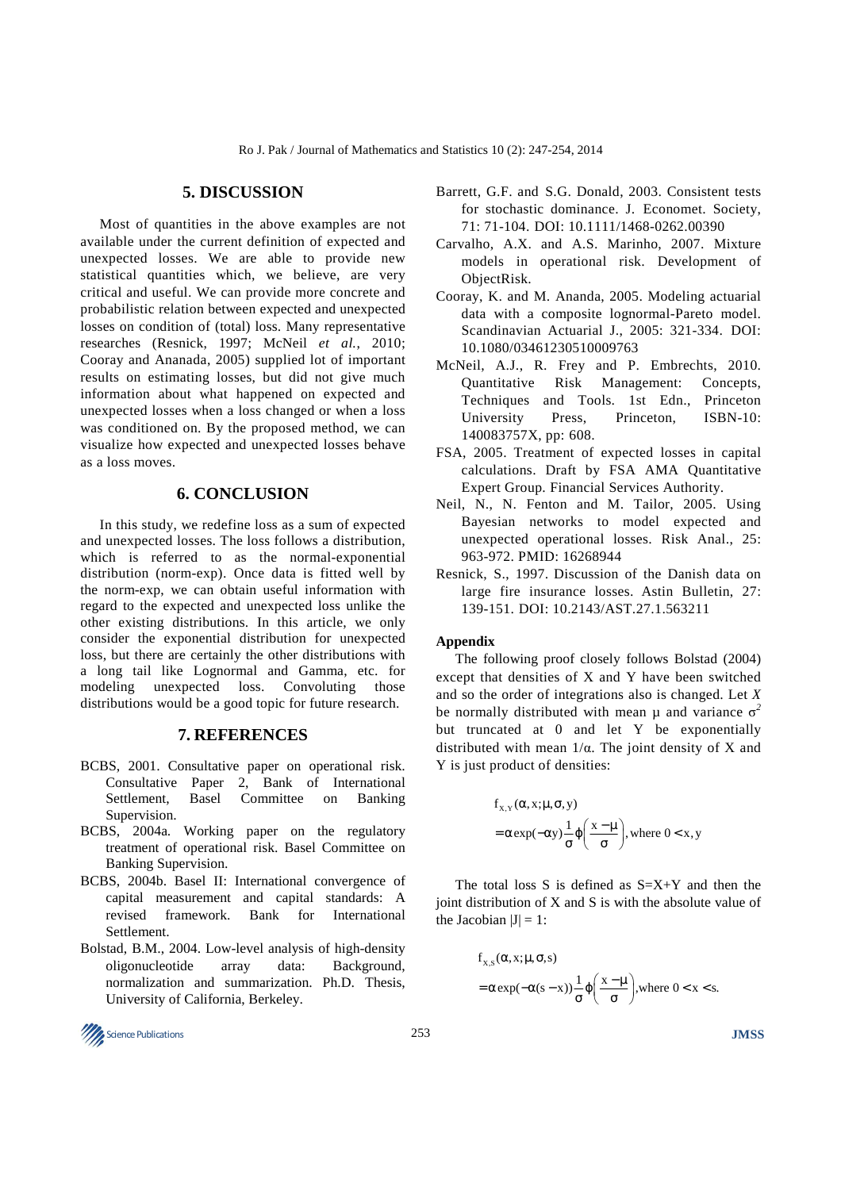## **5. DISCUSSION**

Most of quantities in the above examples are not available under the current definition of expected and unexpected losses. We are able to provide new statistical quantities which, we believe, are very critical and useful. We can provide more concrete and probabilistic relation between expected and unexpected losses on condition of (total) loss. Many representative researches (Resnick, 1997; McNeil *et al.*, 2010; Cooray and Ananada, 2005) supplied lot of important results on estimating losses, but did not give much information about what happened on expected and unexpected losses when a loss changed or when a loss was conditioned on. By the proposed method, we can visualize how expected and unexpected losses behave as a loss moves.

# **6. CONCLUSION**

In this study, we redefine loss as a sum of expected and unexpected losses. The loss follows a distribution, which is referred to as the normal-exponential distribution (norm-exp). Once data is fitted well by the norm-exp, we can obtain useful information with regard to the expected and unexpected loss unlike the other existing distributions. In this article, we only consider the exponential distribution for unexpected loss, but there are certainly the other distributions with a long tail like Lognormal and Gamma, etc. for modeling unexpected loss. Convoluting those distributions would be a good topic for future research.

## **7. REFERENCES**

- BCBS, 2001. Consultative paper on operational risk. Consultative Paper 2, Bank of International<br>Settlement. Basel Committee on Banking Basel Committee on Banking Supervision.
- BCBS, 2004a. Working paper on the regulatory treatment of operational risk. Basel Committee on Banking Supervision.
- BCBS, 2004b. Basel II: International convergence of capital measurement and capital standards: A revised framework. Bank for International Settlement.
- Bolstad, B.M., 2004. Low-level analysis of high-density oligonucleotide array data: Background, normalization and summarization. Ph.D. Thesis, University of California, Berkeley.



- Barrett, G.F. and S.G. Donald, 2003. Consistent tests for stochastic dominance. J. Economet. Society, 71: 71-104. DOI: 10.1111/1468-0262.00390
- Carvalho, A.X. and A.S. Marinho, 2007. Mixture models in operational risk. Development of ObjectRisk.
- Cooray, K. and M. Ananda, 2005. Modeling actuarial data with a composite lognormal-Pareto model. Scandinavian Actuarial J., 2005: 321-334. DOI: 10.1080/03461230510009763
- McNeil, A.J., R. Frey and P. Embrechts, 2010. Quantitative Risk Management: Concepts, Techniques and Tools. 1st Edn., Princeton University Press, Princeton, ISBN-10: 140083757X, pp: 608.
- FSA, 2005. Treatment of expected losses in capital calculations. Draft by FSA AMA Quantitative Expert Group. Financial Services Authority.
- Neil, N., N. Fenton and M. Tailor, 2005. Using Bayesian networks to model expected and unexpected operational losses. Risk Anal., 25: 963-972. PMID: 16268944
- Resnick, S., 1997. Discussion of the Danish data on large fire insurance losses. Astin Bulletin, 27: 139-151. DOI: 10.2143/AST.27.1.563211

#### **Appendix**

The following proof closely follows Bolstad (2004) except that densities of X and Y have been switched and so the order of integrations also is changed. Let *X* be normally distributed with mean  $\mu$  and variance  $\sigma^2$ but truncated at 0 and let Y be exponentially distributed with mean 1/α. The joint density of X and Y is just product of densities:

$$
f_{X,Y}(\alpha, x; \mu, \sigma, y)
$$
  
=  $\alpha \exp(-\alpha y) \frac{1}{\sigma} \varphi \left( \frac{x - \mu}{\sigma} \right)$ , where  $0 < x, y$ 

The total loss S is defined as  $S=X+Y$  and then the joint distribution of X and S is with the absolute value of the Jacobian  $|J| = 1$ :

$$
f_{X,S}(\alpha, x; \mu, \sigma, s)
$$
  
=  $\alpha \exp(-\alpha(s - x)) \frac{1}{\sigma} \varphi \left( \frac{x - \mu}{\sigma} \right)$ , where  $0 < x < s$ .